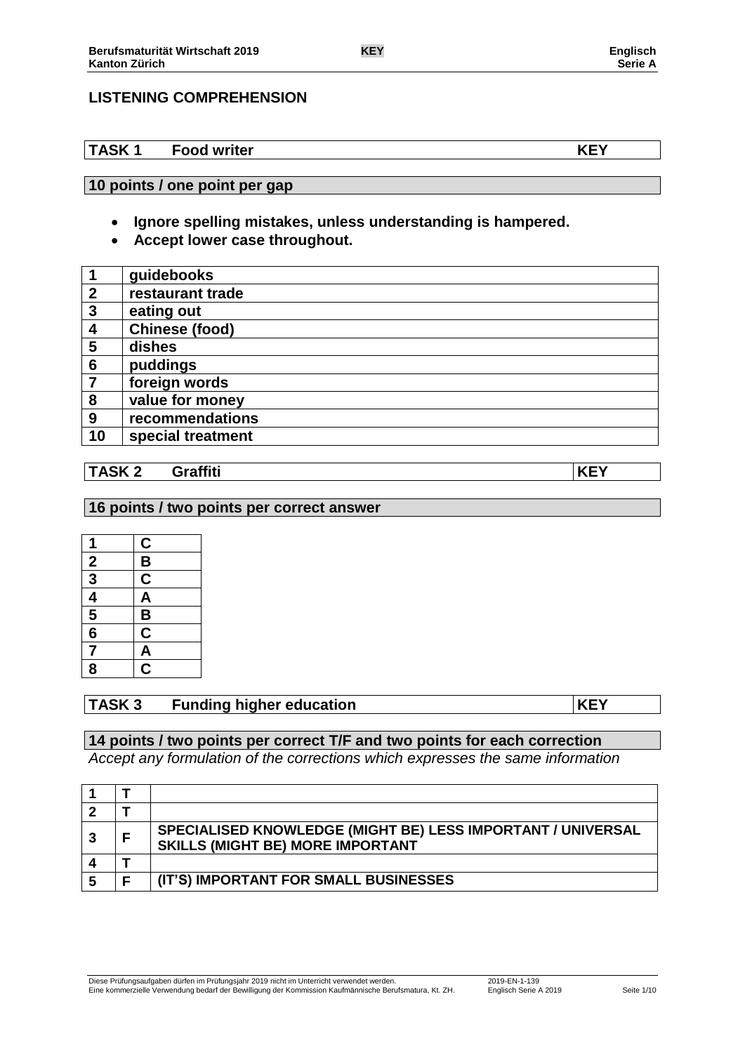# **LISTENING COMPREHENSION**

# **TASK 1 Food writer KEY**

### **10 points / one point per gap**

- **Ignore spelling mistakes, unless understanding is hampered.**
- **Accept lower case throughout.**

| $\overline{\mathbf{1}}$ | guidebooks        |
|-------------------------|-------------------|
| $\overline{2}$          | restaurant trade  |
| $\boldsymbol{3}$        | eating out        |
| $\boldsymbol{4}$        | Chinese (food)    |
| 5                       | dishes            |
| 6                       | puddings          |
| $\overline{7}$          | foreign words     |
| 8                       | value for money   |
| 9                       | recommendations   |
| 10                      | special treatment |

# **TASK 2 Graffiti KEY**

### **16 points / two points per correct answer**

| 1              |                                 |
|----------------|---------------------------------|
|                | $\frac{\mathbf{C}}{\mathbf{B}}$ |
| $\frac{2}{3}$  | $\overline{\mathsf{C}}$         |
| $\overline{4}$ | $\overline{\mathsf{A}}$         |
| $\frac{5}{6}$  |                                 |
|                | $\frac{B}{C}$                   |
| 7              | $\frac{\overline{A}}{C}$        |
| 8              |                                 |

# **TASK 3 Funding higher education KEY**

# **14 points / two points per correct T/F and two points for each correction**

*Accept any formulation of the corrections which expresses the same information*

|  | SPECIALISED KNOWLEDGE (MIGHT BE) LESS IMPORTANT / UNIVERSAL<br><b>SKILLS (MIGHT BE) MORE IMPORTANT</b> |
|--|--------------------------------------------------------------------------------------------------------|
|  |                                                                                                        |
|  | (IT'S) IMPORTANT FOR SMALL BUSINESSES                                                                  |

Diese Prüfungsaufgaben dürfen im Prüfungsjahr 2019 nicht im Unterricht verwendet werden. 2019-EN-1-139 Eine kommerzielle Verwendung bedarf der Bewilligung der Kommission Kaufmännische Berufsmatura, Kt. ZH. Englisch Serie A 2019 Seite 1/10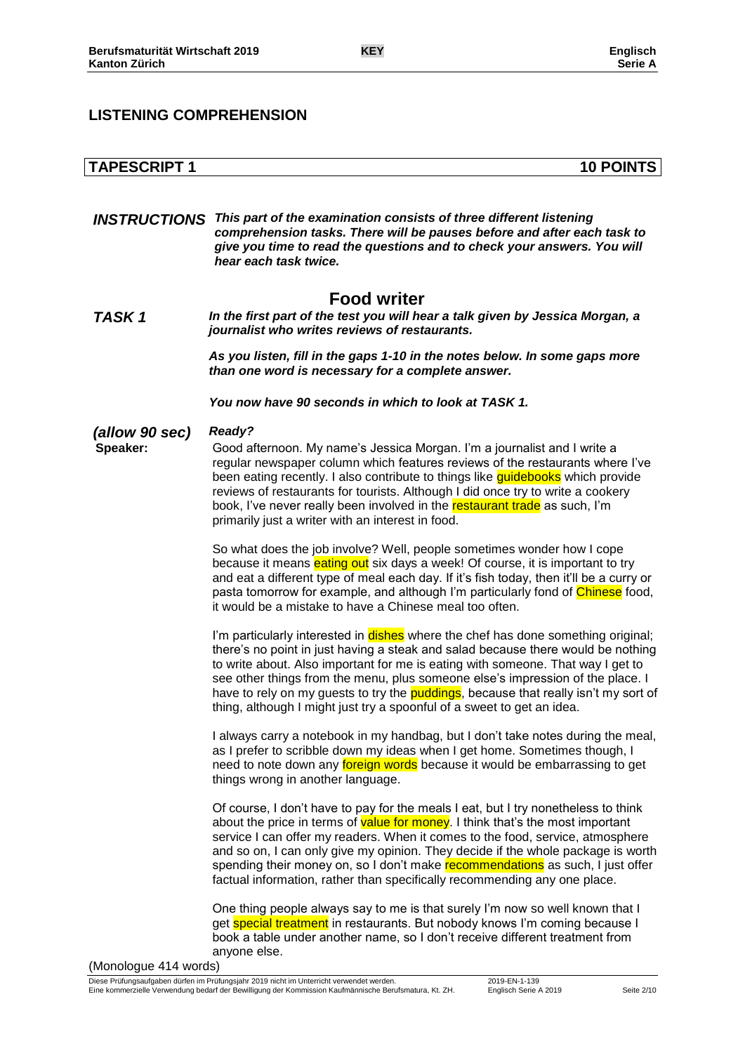# **LISTENING COMPREHENSION**

|                            | <b>INSTRUCTIONS</b> This part of the examination consists of three different listening<br>comprehension tasks. There will be pauses before and after each task to<br>give you time to read the questions and to check your answers. You will<br>hear each task twice.                                                                                                                                                                                                                                       |
|----------------------------|-------------------------------------------------------------------------------------------------------------------------------------------------------------------------------------------------------------------------------------------------------------------------------------------------------------------------------------------------------------------------------------------------------------------------------------------------------------------------------------------------------------|
| TASK <sub>1</sub>          | <b>Food writer</b><br>In the first part of the test you will hear a talk given by Jessica Morgan, a<br>journalist who writes reviews of restaurants.                                                                                                                                                                                                                                                                                                                                                        |
|                            | As you listen, fill in the gaps 1-10 in the notes below. In some gaps more<br>than one word is necessary for a complete answer.                                                                                                                                                                                                                                                                                                                                                                             |
|                            | You now have 90 seconds in which to look at TASK 1.                                                                                                                                                                                                                                                                                                                                                                                                                                                         |
| (allow 90 sec)<br>Speaker: | Ready?<br>Good afternoon. My name's Jessica Morgan. I'm a journalist and I write a<br>regular newspaper column which features reviews of the restaurants where I've<br>been eating recently. I also contribute to things like guidebooks which provide<br>reviews of restaurants for tourists. Although I did once try to write a cookery<br>book, I've never really been involved in the restaurant trade as such, I'm<br>primarily just a writer with an interest in food.                                |
|                            | So what does the job involve? Well, people sometimes wonder how I cope<br>because it means eating out six days a week! Of course, it is important to try<br>and eat a different type of meal each day. If it's fish today, then it'll be a curry or<br>pasta tomorrow for example, and although I'm particularly fond of Chinese food,<br>it would be a mistake to have a Chinese meal too often.                                                                                                           |
|                            | I'm particularly interested in dishes where the chef has done something original;<br>there's no point in just having a steak and salad because there would be nothing<br>to write about. Also important for me is eating with someone. That way I get to<br>see other things from the menu, plus someone else's impression of the place. I<br>have to rely on my guests to try the puddings, because that really isn't my sort of<br>thing, although I might just try a spoonful of a sweet to get an idea. |
|                            | I always carry a notebook in my handbag, but I don't take notes during the meal,<br>as I prefer to scribble down my ideas when I get home. Sometimes though, I<br>need to note down any foreign words because it would be embarrassing to get<br>things wrong in another language.                                                                                                                                                                                                                          |
|                            | Of course, I don't have to pay for the meals I eat, but I try nonetheless to think<br>about the price in terms of value for money. I think that's the most important<br>service I can offer my readers. When it comes to the food, service, atmosphere<br>and so on, I can only give my opinion. They decide if the whole package is worth<br>spending their money on, so I don't make recommendations as such, I just offer<br>factual information, rather than specifically recommending any one place.   |
|                            | One thing people always say to me is that surely I'm now so well known that I<br>get <b>special treatment</b> in restaurants. But nobody knows I'm coming because I<br>book a table under another name, so I don't receive different treatment from<br>anyone else.                                                                                                                                                                                                                                         |

**TAPESCRIPT 1 10 POINTS**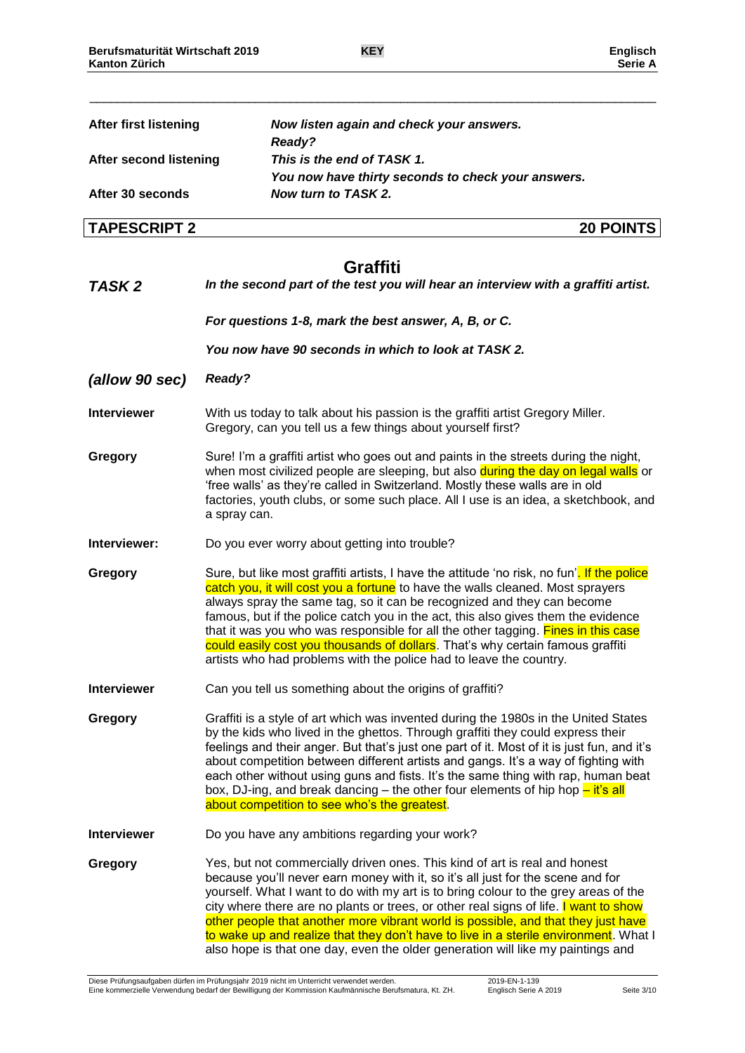\_\_\_\_\_\_\_\_\_\_\_\_\_\_\_\_\_\_\_\_\_\_\_\_\_\_\_\_\_\_\_\_\_\_\_\_\_\_\_\_\_\_\_\_\_\_\_\_\_\_\_\_\_\_\_\_\_\_\_\_\_\_\_\_\_\_\_\_\_\_\_\_\_\_\_\_\_\_\_\_\_\_

| <b>After first listening</b>  | Now listen again and check your answers.<br>Ready?                                                                                                                                                                                                                                                                                                                                                                                                                                                                                                                                                           |
|-------------------------------|--------------------------------------------------------------------------------------------------------------------------------------------------------------------------------------------------------------------------------------------------------------------------------------------------------------------------------------------------------------------------------------------------------------------------------------------------------------------------------------------------------------------------------------------------------------------------------------------------------------|
| <b>After second listening</b> | This is the end of TASK 1.                                                                                                                                                                                                                                                                                                                                                                                                                                                                                                                                                                                   |
| After 30 seconds              | You now have thirty seconds to check your answers.<br>Now turn to TASK 2.                                                                                                                                                                                                                                                                                                                                                                                                                                                                                                                                    |
|                               |                                                                                                                                                                                                                                                                                                                                                                                                                                                                                                                                                                                                              |
| <b>TAPESCRIPT 2</b>           | <b>20 POINTS</b>                                                                                                                                                                                                                                                                                                                                                                                                                                                                                                                                                                                             |
|                               | <b>Graffiti</b>                                                                                                                                                                                                                                                                                                                                                                                                                                                                                                                                                                                              |
| TASK <sub>2</sub>             | In the second part of the test you will hear an interview with a graffiti artist.                                                                                                                                                                                                                                                                                                                                                                                                                                                                                                                            |
|                               | For questions 1-8, mark the best answer, A, B, or C.                                                                                                                                                                                                                                                                                                                                                                                                                                                                                                                                                         |
|                               | You now have 90 seconds in which to look at TASK 2.                                                                                                                                                                                                                                                                                                                                                                                                                                                                                                                                                          |
| (allow 90 sec)                | <b>Ready?</b>                                                                                                                                                                                                                                                                                                                                                                                                                                                                                                                                                                                                |
| <b>Interviewer</b>            | With us today to talk about his passion is the graffiti artist Gregory Miller.<br>Gregory, can you tell us a few things about yourself first?                                                                                                                                                                                                                                                                                                                                                                                                                                                                |
| Gregory                       | Sure! I'm a graffiti artist who goes out and paints in the streets during the night,<br>when most civilized people are sleeping, but also during the day on legal walls or<br>'free walls' as they're called in Switzerland. Mostly these walls are in old<br>factories, youth clubs, or some such place. All I use is an idea, a sketchbook, and<br>a spray can.                                                                                                                                                                                                                                            |
| Interviewer:                  | Do you ever worry about getting into trouble?                                                                                                                                                                                                                                                                                                                                                                                                                                                                                                                                                                |
| Gregory                       | Sure, but like most graffiti artists, I have the attitude 'no risk, no fun'. If the police<br>catch you, it will cost you a fortune to have the walls cleaned. Most sprayers<br>always spray the same tag, so it can be recognized and they can become<br>famous, but if the police catch you in the act, this also gives them the evidence<br>that it was you who was responsible for all the other tagging. Fines in this case<br>could easily cost you thousands of dollars. That's why certain famous graffiti<br>artists who had problems with the police had to leave the country.                     |
| <b>Interviewer</b>            | Can you tell us something about the origins of graffiti?                                                                                                                                                                                                                                                                                                                                                                                                                                                                                                                                                     |
| Gregory                       | Graffiti is a style of art which was invented during the 1980s in the United States<br>by the kids who lived in the ghettos. Through graffiti they could express their<br>feelings and their anger. But that's just one part of it. Most of it is just fun, and it's<br>about competition between different artists and gangs. It's a way of fighting with<br>each other without using guns and fists. It's the same thing with rap, human beat<br>box, DJ-ing, and break dancing – the other four elements of hip hop $-\text{ it's all}$<br>about competition to see who's the greatest.                   |
| <b>Interviewer</b>            | Do you have any ambitions regarding your work?                                                                                                                                                                                                                                                                                                                                                                                                                                                                                                                                                               |
| Gregory                       | Yes, but not commercially driven ones. This kind of art is real and honest<br>because you'll never earn money with it, so it's all just for the scene and for<br>yourself. What I want to do with my art is to bring colour to the grey areas of the<br>city where there are no plants or trees, or other real signs of life. I want to show<br>other people that another more vibrant world is possible, and that they just have<br>to wake up and realize that they don't have to live in a sterile environment. What I<br>also hope is that one day, even the older generation will like my paintings and |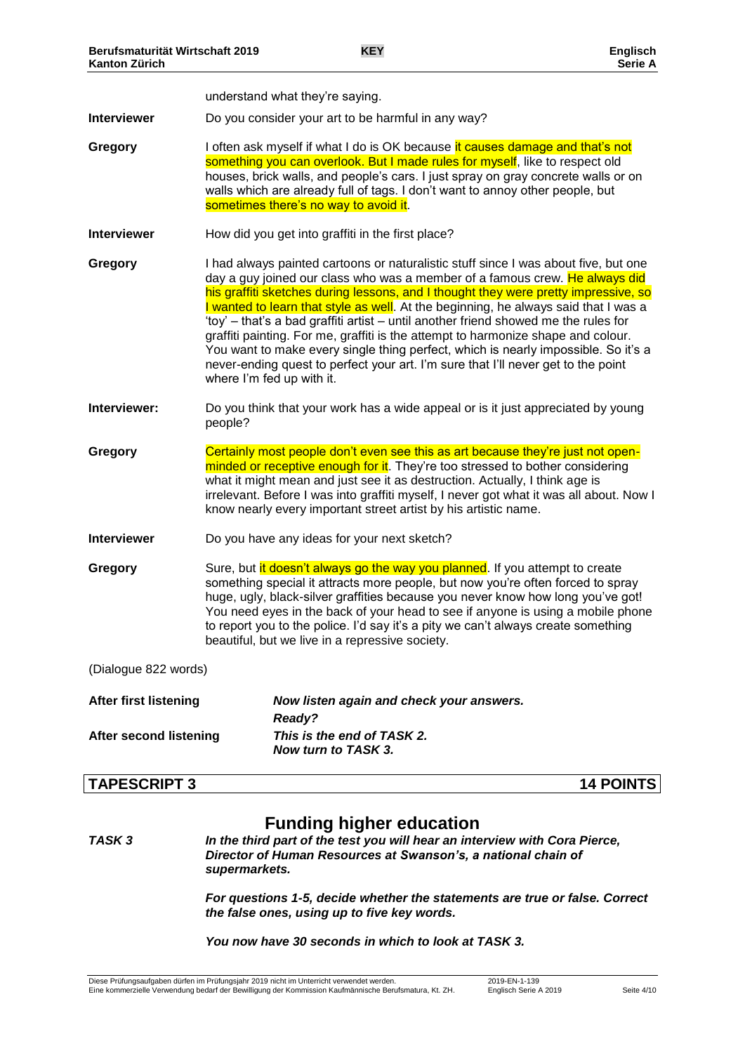|                               |                           | understand what they're saying.                                                                                                                                                                                                                                                                                                                                                                                                                                                                                                                                                                                                                                                                         |  |
|-------------------------------|---------------------------|---------------------------------------------------------------------------------------------------------------------------------------------------------------------------------------------------------------------------------------------------------------------------------------------------------------------------------------------------------------------------------------------------------------------------------------------------------------------------------------------------------------------------------------------------------------------------------------------------------------------------------------------------------------------------------------------------------|--|
| <b>Interviewer</b>            |                           | Do you consider your art to be harmful in any way?                                                                                                                                                                                                                                                                                                                                                                                                                                                                                                                                                                                                                                                      |  |
| Gregory                       |                           | I often ask myself if what I do is OK because it causes damage and that's not<br>something you can overlook. But I made rules for myself, like to respect old<br>houses, brick walls, and people's cars. I just spray on gray concrete walls or on<br>walls which are already full of tags. I don't want to annoy other people, but<br>sometimes there's no way to avoid it.                                                                                                                                                                                                                                                                                                                            |  |
| <b>Interviewer</b>            |                           | How did you get into graffiti in the first place?                                                                                                                                                                                                                                                                                                                                                                                                                                                                                                                                                                                                                                                       |  |
| Gregory                       | where I'm fed up with it. | I had always painted cartoons or naturalistic stuff since I was about five, but one<br>day a guy joined our class who was a member of a famous crew. He always did<br>his graffiti sketches during lessons, and I thought they were pretty impressive, so<br>I wanted to learn that style as well. At the beginning, he always said that I was a<br>'toy' – that's a bad graffiti artist – until another friend showed me the rules for<br>graffiti painting. For me, graffiti is the attempt to harmonize shape and colour.<br>You want to make every single thing perfect, which is nearly impossible. So it's a<br>never-ending quest to perfect your art. I'm sure that I'll never get to the point |  |
| Interviewer:                  | people?                   | Do you think that your work has a wide appeal or is it just appreciated by young                                                                                                                                                                                                                                                                                                                                                                                                                                                                                                                                                                                                                        |  |
| Gregory                       |                           | Certainly most people don't even see this as art because they're just not open-<br>minded or receptive enough for it. They're too stressed to bother considering<br>what it might mean and just see it as destruction. Actually, I think age is<br>irrelevant. Before I was into graffiti myself, I never got what it was all about. Now I<br>know nearly every important street artist by his artistic name.                                                                                                                                                                                                                                                                                           |  |
| <b>Interviewer</b>            |                           | Do you have any ideas for your next sketch?                                                                                                                                                                                                                                                                                                                                                                                                                                                                                                                                                                                                                                                             |  |
| Gregory                       |                           | Sure, but it doesn't always go the way you planned. If you attempt to create<br>something special it attracts more people, but now you're often forced to spray<br>huge, ugly, black-silver graffities because you never know how long you've got!<br>You need eyes in the back of your head to see if anyone is using a mobile phone<br>to report you to the police. I'd say it's a pity we can't always create something<br>beautiful, but we live in a repressive society.                                                                                                                                                                                                                           |  |
| (Dialogue 822 words)          |                           |                                                                                                                                                                                                                                                                                                                                                                                                                                                                                                                                                                                                                                                                                                         |  |
| <b>After first listening</b>  |                           | Now listen again and check your answers.<br><b>Ready?</b>                                                                                                                                                                                                                                                                                                                                                                                                                                                                                                                                                                                                                                               |  |
| <b>After second listening</b> |                           | This is the end of TASK 2.<br>Now turn to TASK 3.                                                                                                                                                                                                                                                                                                                                                                                                                                                                                                                                                                                                                                                       |  |

### **TAPESCRIPT 3 14 POINTS**

# **Funding higher education**

*TASK 3 In the third part of the test you will hear an interview with Cora Pierce, Director of Human Resources at Swanson's, a national chain of supermarkets.*

> *For questions 1-5, decide whether the statements are true or false. Correct the false ones, using up to five key words.*

### *You now have 30 seconds in which to look at TASK 3.*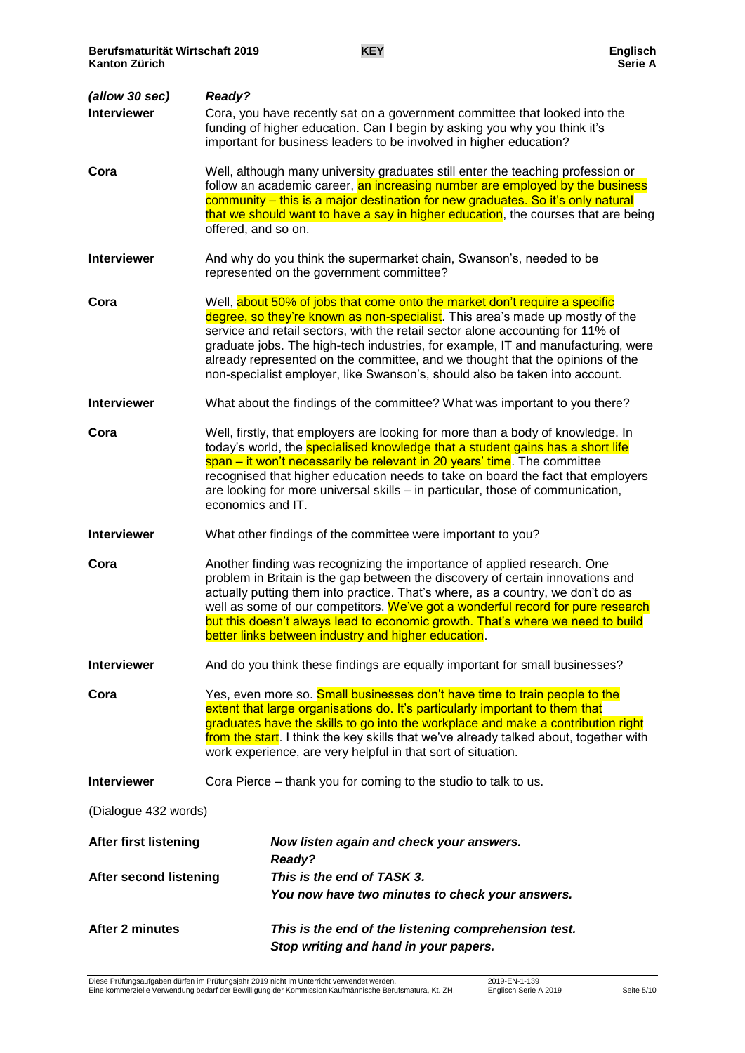| (allow 30 sec)<br><b>Interviewer</b> | Ready?<br>Cora, you have recently sat on a government committee that looked into the<br>funding of higher education. Can I begin by asking you why you think it's                                                                                                                                                                                                                                                                                                                                 |
|--------------------------------------|---------------------------------------------------------------------------------------------------------------------------------------------------------------------------------------------------------------------------------------------------------------------------------------------------------------------------------------------------------------------------------------------------------------------------------------------------------------------------------------------------|
| Cora                                 | important for business leaders to be involved in higher education?<br>Well, although many university graduates still enter the teaching profession or<br>follow an academic career, an increasing number are employed by the business<br>community - this is a major destination for new graduates. So it's only natural<br>that we should want to have a say in higher education, the courses that are being<br>offered, and so on.                                                              |
| <b>Interviewer</b>                   | And why do you think the supermarket chain, Swanson's, needed to be<br>represented on the government committee?                                                                                                                                                                                                                                                                                                                                                                                   |
| Cora                                 | Well, about 50% of jobs that come onto the market don't require a specific<br>degree, so they're known as non-specialist. This area's made up mostly of the<br>service and retail sectors, with the retail sector alone accounting for 11% of<br>graduate jobs. The high-tech industries, for example, IT and manufacturing, were<br>already represented on the committee, and we thought that the opinions of the<br>non-specialist employer, like Swanson's, should also be taken into account. |
| <b>Interviewer</b>                   | What about the findings of the committee? What was important to you there?                                                                                                                                                                                                                                                                                                                                                                                                                        |
| Cora                                 | Well, firstly, that employers are looking for more than a body of knowledge. In<br>today's world, the specialised knowledge that a student gains has a short life<br>span – it won't necessarily be relevant in 20 years' time. The committee<br>recognised that higher education needs to take on board the fact that employers<br>are looking for more universal skills - in particular, those of communication,<br>economics and IT.                                                           |
| <b>Interviewer</b>                   | What other findings of the committee were important to you?                                                                                                                                                                                                                                                                                                                                                                                                                                       |
| Cora                                 | Another finding was recognizing the importance of applied research. One<br>problem in Britain is the gap between the discovery of certain innovations and<br>actually putting them into practice. That's where, as a country, we don't do as<br>well as some of our competitors. We've got a wonderful record for pure research<br>but this doesn't always lead to economic growth. That's where we need to build<br>better links between industry and higher education.                          |
| <b>Interviewer</b>                   | And do you think these findings are equally important for small businesses?                                                                                                                                                                                                                                                                                                                                                                                                                       |
| Cora                                 | Yes, even more so. Small businesses don't have time to train people to the<br>extent that large organisations do. It's particularly important to them that<br>graduates have the skills to go into the workplace and make a contribution right<br>from the start. I think the key skills that we've already talked about, together with<br>work experience, are very helpful in that sort of situation.                                                                                           |
| <b>Interviewer</b>                   | Cora Pierce – thank you for coming to the studio to talk to us.                                                                                                                                                                                                                                                                                                                                                                                                                                   |
| (Dialogue 432 words)                 |                                                                                                                                                                                                                                                                                                                                                                                                                                                                                                   |
| <b>After first listening</b>         | Now listen again and check your answers.<br><b>Ready?</b>                                                                                                                                                                                                                                                                                                                                                                                                                                         |
| After second listening               | This is the end of TASK 3.<br>You now have two minutes to check your answers.                                                                                                                                                                                                                                                                                                                                                                                                                     |
| After 2 minutes                      | This is the end of the listening comprehension test.<br>Stop writing and hand in your papers.                                                                                                                                                                                                                                                                                                                                                                                                     |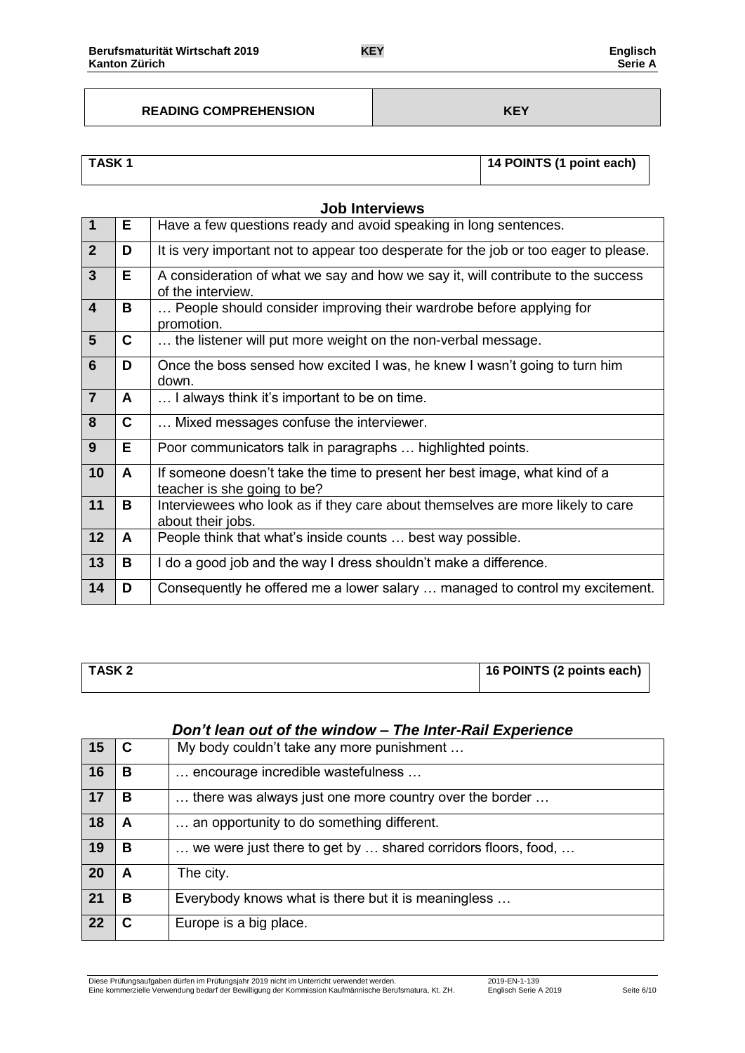### **READING COMPREHENSION KEY**

| <b>TASK1</b> | 14 POINTS (1 point each) |
|--------------|--------------------------|
|              |                          |

|                         | <b>Job Interviews</b> |                                                                                                           |  |  |  |
|-------------------------|-----------------------|-----------------------------------------------------------------------------------------------------------|--|--|--|
| $\overline{\mathbf{1}}$ | E.                    | Have a few questions ready and avoid speaking in long sentences.                                          |  |  |  |
| $\overline{2}$          | D                     | It is very important not to appear too desperate for the job or too eager to please.                      |  |  |  |
| $\overline{3}$          | E.                    | A consideration of what we say and how we say it, will contribute to the success<br>of the interview.     |  |  |  |
| $\overline{4}$          | В                     | People should consider improving their wardrobe before applying for<br>promotion.                         |  |  |  |
| 5                       | C                     | the listener will put more weight on the non-verbal message.                                              |  |  |  |
| $6\phantom{1}$          | D                     | Once the boss sensed how excited I was, he knew I wasn't going to turn him<br>down.                       |  |  |  |
| $\overline{7}$          | A                     | I always think it's important to be on time.                                                              |  |  |  |
| 8                       | C                     | Mixed messages confuse the interviewer.                                                                   |  |  |  |
| 9                       | Е                     | Poor communicators talk in paragraphs  highlighted points.                                                |  |  |  |
| 10                      | A                     | If someone doesn't take the time to present her best image, what kind of a<br>teacher is she going to be? |  |  |  |
| 11                      | В                     | Interviewees who look as if they care about themselves are more likely to care<br>about their jobs.       |  |  |  |
| 12                      | A                     | People think that what's inside counts  best way possible.                                                |  |  |  |
| 13                      | B                     | I do a good job and the way I dress shouldn't make a difference.                                          |  |  |  |
| 14                      | D                     | Consequently he offered me a lower salary  managed to control my excitement.                              |  |  |  |

# **TASK 2 16 POINTS** (2 points each)

# *Don't lean out of the window – The Inter-Rail Experience*

| 15 | С | My body couldn't take any more punishment                    |
|----|---|--------------------------------------------------------------|
| 16 | В | encourage incredible wastefulness                            |
| 17 | в | there was always just one more country over the border       |
| 18 | A | an opportunity to do something different.                    |
| 19 | В | we were just there to get by  shared corridors floors, food, |
| 20 | A | The city.                                                    |
| 21 | B | Everybody knows what is there but it is meaningless          |
| 22 |   | Europe is a big place.                                       |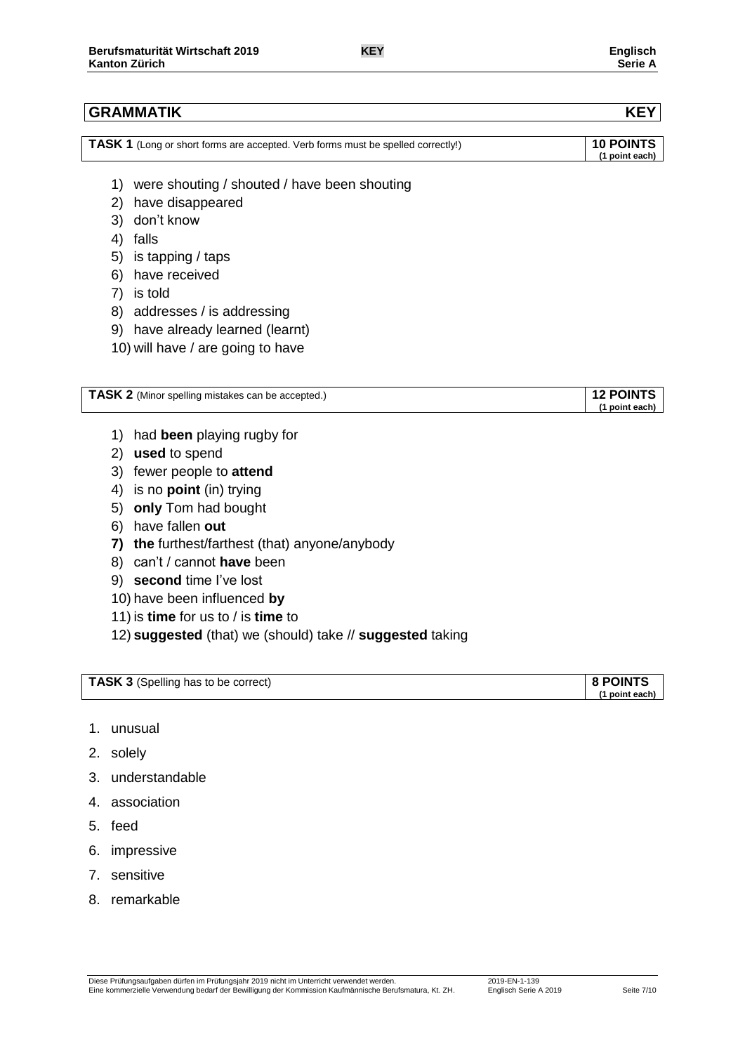| <sup>1</sup> TASK 1 (Long or short forms are accepted. Verb forms must be spelled correctly!) | 10 POINTS      |
|-----------------------------------------------------------------------------------------------|----------------|
|                                                                                               | (1 point each) |

- 1) were shouting / shouted / have been shouting
- 2) have disappeared
- 3) don't know
- 4) falls
- 5) is tapping / taps
- 6) have received
- 7) is told
- 8) addresses / is addressing
- 9) have already learned (learnt)
- 10) will have / are going to have

| TASK 2 (Minor spelling mistakes can be accepted.) | <b>POINTS</b> |
|---------------------------------------------------|---------------|
|                                                   | point each    |

- 1) had **been** playing rugby for
- 2) **used** to spend
- 3) fewer people to **attend**
- 4) is no **point** (in) trying
- 5) **only** Tom had bought
- 6) have fallen **out**
- **7) the** furthest/farthest (that) anyone/anybody
- 8) can't / cannot **have** been
- 9) **second** time I've lost
- 10) have been influenced **by**
- 11) is **time** for us to / is **time** to
- 12) **suggested** (that) we (should) take // **suggested** taking

| <b>TASK 3</b> (Spelling has to be correct) | 8 POINTS |
|--------------------------------------------|----------|
|--------------------------------------------|----------|

**(1 point each)**

- 1. unusual
- 2. solely
- 3. understandable
- 4. association
- 5. feed
- 6. impressive
- 7. sensitive
- 8. remarkable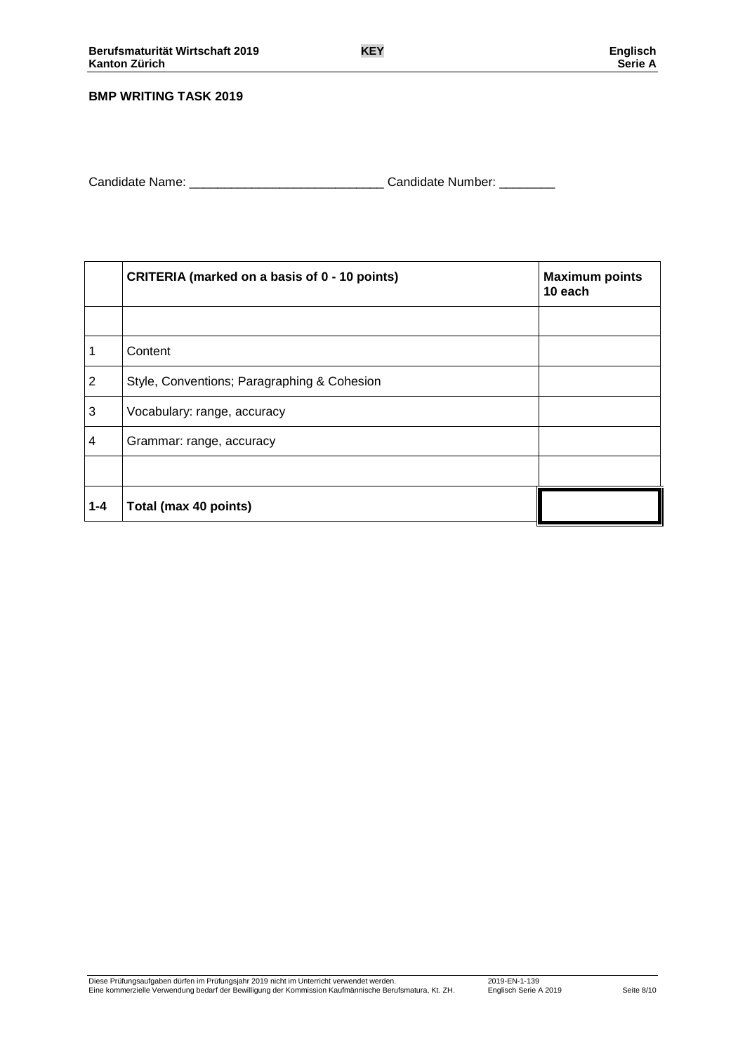### **BMP WRITING TASK 2019**

Candidate Name: \_\_\_\_\_\_\_\_\_\_\_\_\_\_\_\_\_\_\_\_\_\_\_\_\_\_\_\_ Candidate Number: \_\_\_\_\_\_\_\_

|                | CRITERIA (marked on a basis of 0 - 10 points) | <b>Maximum points</b><br>10 each |
|----------------|-----------------------------------------------|----------------------------------|
|                |                                               |                                  |
| 1              | Content                                       |                                  |
| $\overline{2}$ | Style, Conventions; Paragraphing & Cohesion   |                                  |
| 3              | Vocabulary: range, accuracy                   |                                  |
| 4              | Grammar: range, accuracy                      |                                  |
|                |                                               |                                  |
| $1 - 4$        | Total (max 40 points)                         |                                  |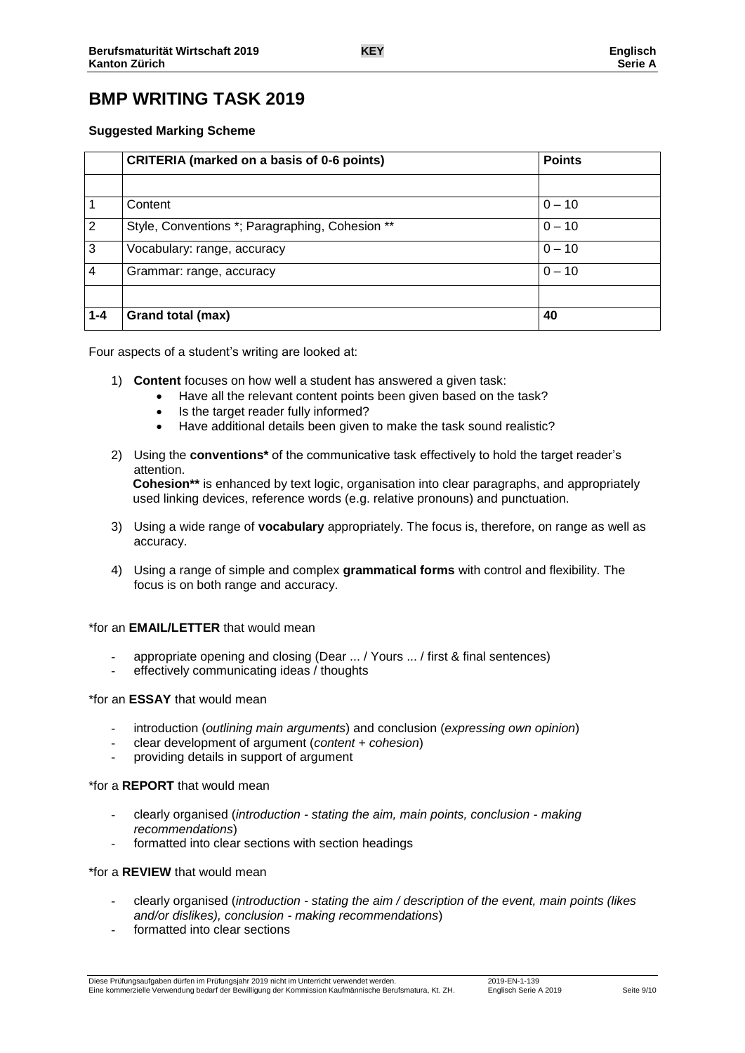# **BMP WRITING TASK 2019**

### **Suggested Marking Scheme**

|                | <b>CRITERIA (marked on a basis of 0-6 points)</b> | <b>Points</b> |
|----------------|---------------------------------------------------|---------------|
|                |                                                   |               |
|                | Content                                           | $0 - 10$      |
| $\overline{2}$ | Style, Conventions *; Paragraphing, Cohesion **   | $0 - 10$      |
| 3              | Vocabulary: range, accuracy                       | $0 - 10$      |
| 4              | Grammar: range, accuracy                          | $0 - 10$      |
|                |                                                   |               |
| $1 - 4$        | Grand total (max)                                 | 40            |

Four aspects of a student's writing are looked at:

- 1) **Content** focuses on how well a student has answered a given task:
	- Have all the relevant content points been given based on the task?
	- Is the target reader fully informed?
	- Have additional details been given to make the task sound realistic?
- 2) Using the **conventions\*** of the communicative task effectively to hold the target reader's attention. **Cohesion\*\*** is enhanced by text logic, organisation into clear paragraphs, and appropriately

used linking devices, reference words (e.g. relative pronouns) and punctuation.

- 3) Using a wide range of **vocabulary** appropriately. The focus is, therefore, on range as well as accuracy.
- 4) Using a range of simple and complex **grammatical forms** with control and flexibility. The focus is on both range and accuracy.

### \*for an **EMAIL/LETTER** that would mean

- appropriate opening and closing (Dear ... / Yours ... / first & final sentences)
- effectively communicating ideas / thoughts

### \*for an **ESSAY** that would mean

- introduction (*outlining main arguments*) and conclusion (*expressing own opinion*)
- clear development of argument (*content + cohesion*)
- providing details in support of argument

### \*for a **REPORT** that would mean

- clearly organised (*introduction - stating the aim, main points, conclusion - making recommendations*)
- formatted into clear sections with section headings

### \*for a **REVIEW** that would mean

- clearly organised (*introduction - stating the aim / description of the event, main points (likes and/or dislikes), conclusion - making recommendations*)
- formatted into clear sections